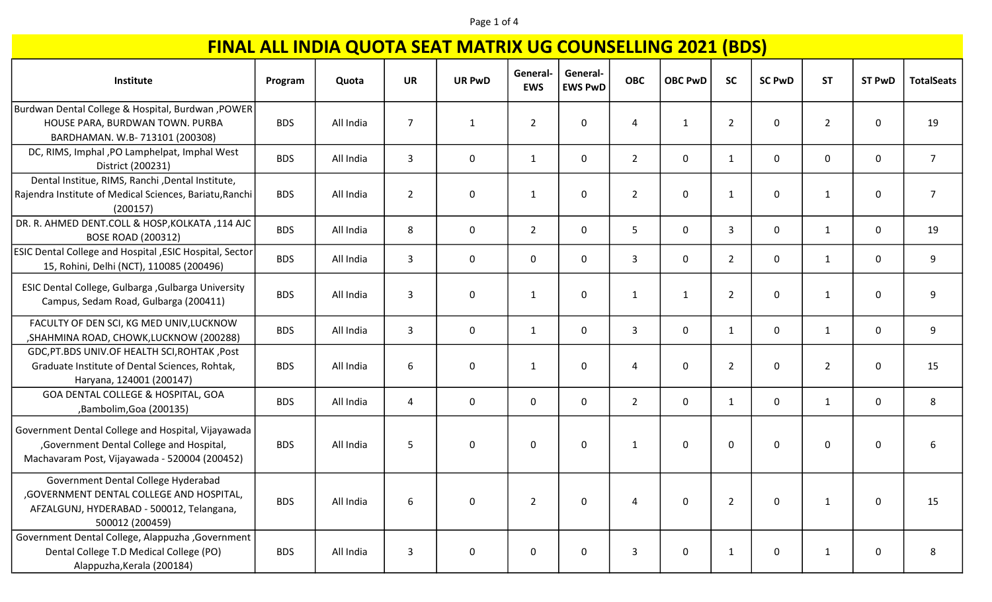#### Page 1 of 4

|                                                                                                                                                  |            |           |                |               |                        | General-       |                |                |                |               |                |               |                   |
|--------------------------------------------------------------------------------------------------------------------------------------------------|------------|-----------|----------------|---------------|------------------------|----------------|----------------|----------------|----------------|---------------|----------------|---------------|-------------------|
| Institute                                                                                                                                        | Program    | Quota     | <b>UR</b>      | <b>UR PwD</b> | General-<br><b>EWS</b> | <b>EWS PwD</b> | <b>OBC</b>     | <b>OBC PwD</b> | <b>SC</b>      | <b>SC PwD</b> | <b>ST</b>      | <b>ST PwD</b> | <b>TotalSeats</b> |
| Burdwan Dental College & Hospital, Burdwan , POWER<br>HOUSE PARA, BURDWAN TOWN. PURBA<br>BARDHAMAN. W.B-713101 (200308)                          | <b>BDS</b> | All India | $\overline{7}$ | $\mathbf{1}$  | $\overline{2}$         | 0              | 4              | $\mathbf{1}$   | $\overline{2}$ | $\pmb{0}$     | $\overline{2}$ | 0             | 19                |
| DC, RIMS, Imphal, PO Lamphelpat, Imphal West<br>District (200231)                                                                                | <b>BDS</b> | All India | $\overline{3}$ | $\mathbf 0$   | $\mathbf{1}$           | $\mathsf{O}$   | $\overline{2}$ | $\mathbf 0$    | $\mathbf{1}$   | 0             | $\mathbf 0$    | 0             | 7 <sup>1</sup>    |
| Dental Institue, RIMS, Ranchi, Dental Institute,<br>Rajendra Institute of Medical Sciences, Bariatu, Ranchi<br>(200157)                          | <b>BDS</b> | All India | $\overline{2}$ | 0             | 1                      | $\mathbf 0$    | $\overline{2}$ | $\mathbf 0$    | $\mathbf{1}$   | 0             | $\mathbf{1}$   | 0             | $\overline{7}$    |
| DR. R. AHMED DENT.COLL & HOSP, KOLKATA, 114 AJC<br><b>BOSE ROAD (200312)</b>                                                                     | <b>BDS</b> | All India | 8              | $\mathbf 0$   | $2^{\circ}$            | $\mathsf{O}$   | 5              | $\mathsf{O}$   | $\mathbf{3}$   | 0             | $\mathbf{1}$   | 0             | 19                |
| ESIC Dental College and Hospital, ESIC Hospital, Sector<br>15, Rohini, Delhi (NCT), 110085 (200496)                                              | <b>BDS</b> | All India | 3              | $\mathbf 0$   | 0                      | 0              | $\mathbf{3}$   | 0              | $\overline{2}$ | 0             | $\mathbf{1}$   | 0             | 9                 |
| ESIC Dental College, Gulbarga , Gulbarga University<br>Campus, Sedam Road, Gulbarga (200411)                                                     | <b>BDS</b> | All India | 3              | 0             | 1                      | 0              | 1              | $\mathbf{1}$   | $\overline{2}$ | 0             | $\mathbf{1}$   | 0             | 9                 |
| FACULTY OF DEN SCI, KG MED UNIV, LUCKNOW<br>, SHAHMINA ROAD, CHOWK, LUCKNOW (200288)                                                             | <b>BDS</b> | All India | 3              | $\mathbf 0$   | $\mathbf{1}$           | $\mathbf 0$    | $\mathbf{3}$   | $\mathbf 0$    | $\mathbf{1}$   | 0             | $\mathbf{1}$   | 0             | 9                 |
| GDC, PT.BDS UNIV.OF HEALTH SCI, ROHTAK, Post<br>Graduate Institute of Dental Sciences, Rohtak,<br>Haryana, 124001 (200147)                       | <b>BDS</b> | All India | 6              | 0             | 1                      | 0              | 4              | 0              | $\overline{2}$ | 0             | $\overline{2}$ | 0             | 15                |
| GOA DENTAL COLLEGE & HOSPITAL, GOA<br>,Bambolim,Goa (200135)                                                                                     | <b>BDS</b> | All India | 4              | $\mathbf 0$   | 0                      | $\mathbf 0$    | $2^{\circ}$    | $\mathbf 0$    | $\mathbf{1}$   | 0             | $\mathbf{1}$   | 0             | 8                 |
| Government Dental College and Hospital, Vijayawada<br>,Government Dental College and Hospital,<br>Machavaram Post, Vijayawada - 520004 (200452)  | <b>BDS</b> | All India | 5              | 0             | 0                      | 0              | 1              | $\mathbf{0}$   | $\mathbf 0$    | $\mathbf 0$   | 0              | 0             | 6                 |
| Government Dental College Hyderabad<br>, GOVERNMENT DENTAL COLLEGE AND HOSPITAL,<br>AFZALGUNJ, HYDERABAD - 500012, Telangana,<br>500012 (200459) | <b>BDS</b> | All India | 6              | 0             | $\overline{2}$         | $\mathbf 0$    | 4              | 0              | $\overline{2}$ | 0             | 1              | 0             | 15                |
| Government Dental College, Alappuzha , Government<br>Dental College T.D Medical College (PO)<br>Alappuzha, Kerala (200184)                       | <b>BDS</b> | All India | 3              | 0             | 0                      | 0              | 3              | 0              | $\mathbf{1}$   | 0             | 1              | 0             | 8                 |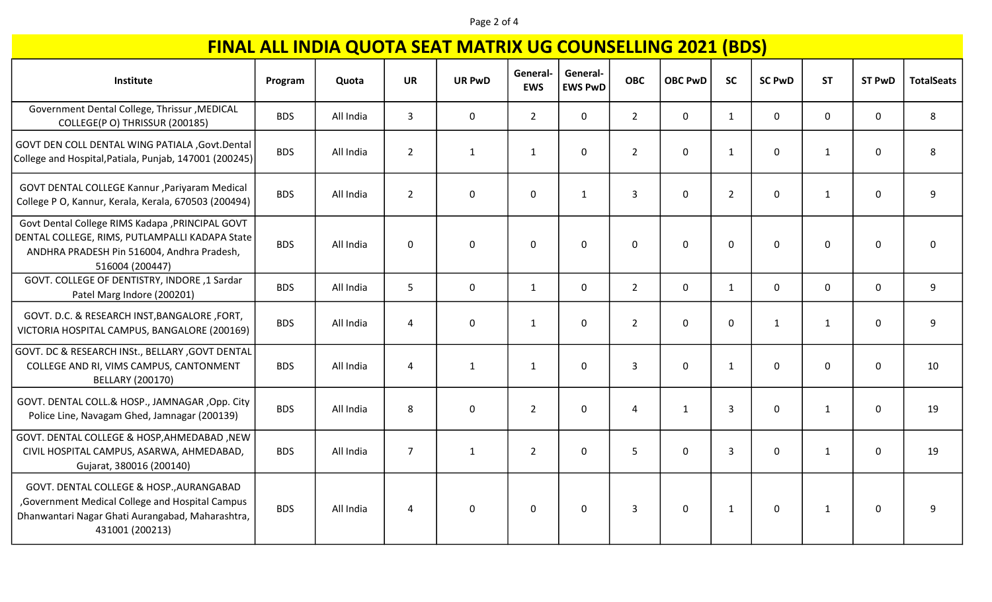#### Page 2 of 4

| Institute                                                                                                                                                           | Program    | Quota     | <b>UR</b>      | <b>UR PwD</b> | General-<br><b>EWS</b> | General-<br><b>EWS PwD</b> | <b>OBC</b>     | <b>OBC PwD</b> | $\mathbf{v}$<br><b>SC</b> | <b>SC PwD</b> | <b>ST</b>    | <b>ST PwD</b> | <b>TotalSeats</b> |
|---------------------------------------------------------------------------------------------------------------------------------------------------------------------|------------|-----------|----------------|---------------|------------------------|----------------------------|----------------|----------------|---------------------------|---------------|--------------|---------------|-------------------|
| Government Dental College, Thrissur, MEDICAL<br>COLLEGE(P O) THRISSUR (200185)                                                                                      | <b>BDS</b> | All India | $\mathbf{3}$   | 0             | $\overline{2}$         | $\mathbf 0$                | $\overline{2}$ | $\overline{0}$ | $\mathbf{1}$              | $\pmb{0}$     | $\mathbf{0}$ | $\mathsf{O}$  | 8                 |
| GOVT DEN COLL DENTAL WING PATIALA , Govt. Dental<br>College and Hospital, Patiala, Punjab, 147001 (200245)                                                          | <b>BDS</b> | All India | $\overline{2}$ | $\mathbf{1}$  | $\mathbf{1}$           | 0                          | $\overline{2}$ | $\mathbf 0$    | $\mathbf{1}$              | $\mathbf 0$   | $\mathbf{1}$ | $\pmb{0}$     | 8                 |
| GOVT DENTAL COLLEGE Kannur , Pariyaram Medical<br>College P O, Kannur, Kerala, Kerala, 670503 (200494)                                                              | <b>BDS</b> | All India | $\overline{2}$ | 0             | $\mathbf 0$            | $\mathbf{1}$               | 3              | 0              | $\overline{2}$            | $\mathbf 0$   | $\mathbf{1}$ | 0             | 9                 |
| Govt Dental College RIMS Kadapa , PRINCIPAL GOVT<br>DENTAL COLLEGE, RIMS, PUTLAMPALLI KADAPA State<br>ANDHRA PRADESH Pin 516004, Andhra Pradesh,<br>516004 (200447) | <b>BDS</b> | All India | $\mathbf 0$    | 0             | $\mathbf 0$            | $\mathbf 0$                | 0              | $\mathbf 0$    | $\mathbf 0$               | $\mathbf 0$   | 0            | $\mathbf 0$   | $\mathbf 0$       |
| GOVT. COLLEGE OF DENTISTRY, INDORE, 1 Sardar<br>Patel Marg Indore (200201)                                                                                          | <b>BDS</b> | All India | 5              | $\mathsf{O}$  | $\mathbf{1}$           | 0                          | $2^{\circ}$    | $\mathbf 0$    | $\mathbf{1}$              | $\mathsf{O}$  | $\mathbf 0$  | $\mathbf 0$   | 9                 |
| GOVT. D.C. & RESEARCH INST, BANGALORE, FORT,<br>VICTORIA HOSPITAL CAMPUS, BANGALORE (200169)                                                                        | <b>BDS</b> | All India | $\overline{4}$ | 0             | $\mathbf{1}$           | 0                          | $\overline{2}$ | $\mathbf 0$    | $\mathbf 0$               | $\mathbf{1}$  | $\mathbf{1}$ | $\mathsf{O}$  | 9                 |
| GOVT. DC & RESEARCH INSt., BELLARY, GOVT DENTAL<br>COLLEGE AND RI, VIMS CAMPUS, CANTONMENT<br>BELLARY (200170)                                                      | <b>BDS</b> | All India | $\overline{4}$ | $\mathbf{1}$  | $\mathbf{1}$           | 0                          | $\mathbf{3}$   | 0              | $\mathbf{1}$              | $\mathbf 0$   | 0            | $\mathbf 0$   | 10                |
| GOVT. DENTAL COLL.& HOSP., JAMNAGAR, Opp. City<br>Police Line, Navagam Ghed, Jamnagar (200139)                                                                      | <b>BDS</b> | All India | 8              | $\mathbf 0$   | $\overline{2}$         | 0                          | 4              | $\mathbf{1}$   | 3                         | $\mathbf 0$   | $\mathbf{1}$ | $\mathbf 0$   | 19                |
| GOVT. DENTAL COLLEGE & HOSP, AHMEDABAD, NEW<br>CIVIL HOSPITAL CAMPUS, ASARWA, AHMEDABAD,<br>Gujarat, 380016 (200140)                                                | <b>BDS</b> | All India | $\overline{7}$ | $\mathbf{1}$  | $\overline{2}$         | $\mathbf 0$                | 5              | $\Omega$       | $\overline{3}$            | $\mathbf 0$   | $\mathbf{1}$ | $\mathbf 0$   | 19                |
| GOVT. DENTAL COLLEGE & HOSP., AURANGABAD<br>, Government Medical College and Hospital Campus<br>Dhanwantari Nagar Ghati Aurangabad, Maharashtra,<br>431001 (200213) | <b>BDS</b> | All India | 4              | 0             | $\mathbf 0$            | 0                          | 3              | $\mathbf 0$    | $\mathbf{1}$              | $\mathbf 0$   | $\mathbf{1}$ | $\mathbf 0$   | 9                 |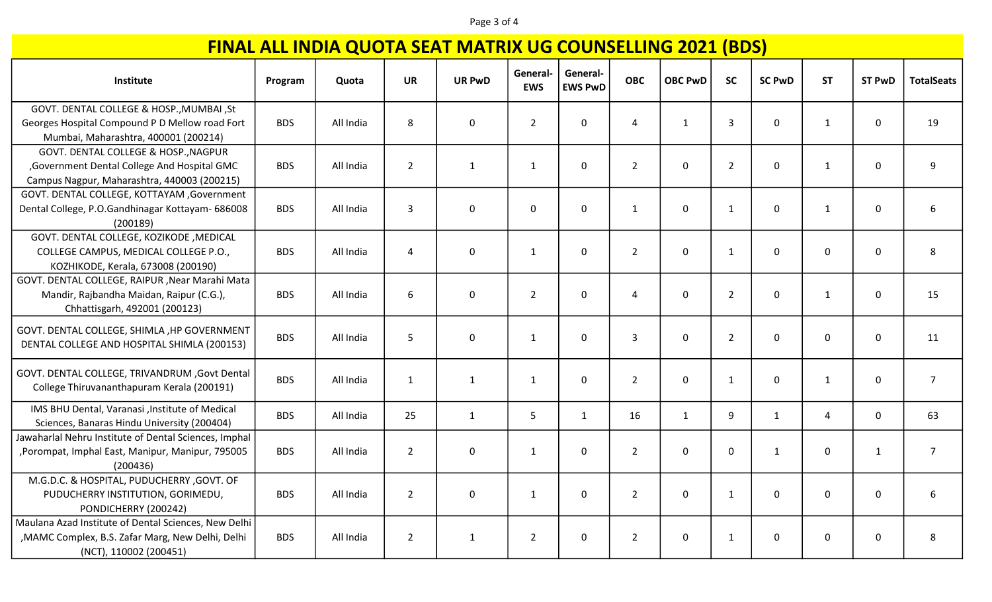#### Page 3 of 4

| Institute                                                     | Program    | Quota     | <b>UR</b>      | <b>UR PwD</b>    | General-<br><b>EWS</b> | General-<br><b>EWS PwD</b> | <b>OBC</b>     | <b>OBC PwD</b> | <b>SC</b>      | <b>SC PwD</b> | <b>ST</b>    | <b>ST PwD</b> | <b>TotalSeats</b> |
|---------------------------------------------------------------|------------|-----------|----------------|------------------|------------------------|----------------------------|----------------|----------------|----------------|---------------|--------------|---------------|-------------------|
| GOVT. DENTAL COLLEGE & HOSP., MUMBAI, St                      |            |           |                |                  |                        |                            |                |                |                |               |              |               |                   |
| Georges Hospital Compound P D Mellow road Fort                | <b>BDS</b> | All India | 8              | $\mathbf 0$      | $2^{\circ}$            | $\mathsf{O}$               | $\overline{4}$ | $\mathbf{1}$   | $\overline{3}$ | 0             | $\mathbf{1}$ | 0             | 19                |
| Mumbai, Maharashtra, 400001 (200214)                          |            |           |                |                  |                        |                            |                |                |                |               |              |               |                   |
| GOVT. DENTAL COLLEGE & HOSP., NAGPUR                          |            |           |                |                  |                        |                            |                |                |                |               |              |               |                   |
| , Government Dental College And Hospital GMC                  | <b>BDS</b> | All India | $\overline{2}$ | $\mathbf{1}$     | $\mathbf{1}$           | $\mathbf 0$                | $\overline{2}$ | $\mathbf 0$    | $\overline{2}$ | 0             | $\mathbf{1}$ | 0             | 9                 |
| Campus Nagpur, Maharashtra, 440003 (200215)                   |            |           |                |                  |                        |                            |                |                |                |               |              |               |                   |
| GOVT. DENTAL COLLEGE, KOTTAYAM , Government                   |            |           |                |                  |                        |                            |                |                |                |               |              |               |                   |
| Dental College, P.O.Gandhinagar Kottayam- 686008              | <b>BDS</b> | All India | 3              | 0                | $\mathbf{0}$           | $\mathbf 0$                | $\mathbf{1}$   | 0              | $\mathbf{1}$   | 0             | 1            | 0             | 6                 |
| (200189)                                                      |            |           |                |                  |                        |                            |                |                |                |               |              |               |                   |
| GOVT. DENTAL COLLEGE, KOZIKODE , MEDICAL                      |            |           |                |                  |                        |                            |                |                |                |               |              |               |                   |
| COLLEGE CAMPUS, MEDICAL COLLEGE P.O.,                         | <b>BDS</b> | All India | 4              | $\mathbf 0$      | $\mathbf{1}$           | $\mathsf{O}$               | $2^{\circ}$    | $\mathbf 0$    | $\mathbf{1}$   | 0             | $\mathbf 0$  | 0             | 8                 |
| KOZHIKODE, Kerala, 673008 (200190)                            |            |           |                |                  |                        |                            |                |                |                |               |              |               |                   |
| GOVT. DENTAL COLLEGE, RAIPUR , Near Marahi Mata               |            |           |                |                  |                        |                            |                |                |                |               |              |               |                   |
| Mandir, Rajbandha Maidan, Raipur (C.G.),                      | <b>BDS</b> | All India | 6              | $\mathbf 0$      | $2^{\circ}$            | $\mathbf{0}$               | 4              | $\mathbf 0$    | $\overline{2}$ | 0             | 1            | 0             | 15                |
| Chhattisgarh, 492001 (200123)                                 |            |           |                |                  |                        |                            |                |                |                |               |              |               |                   |
| GOVT. DENTAL COLLEGE, SHIMLA , HP GOVERNMENT                  | <b>BDS</b> | All India | 5              | $\boldsymbol{0}$ | $\mathbf{1}$           | $\mathbf 0$                | 3              | $\mathbf 0$    | $\overline{2}$ | 0             | $\mathbf 0$  | 0             | 11                |
| DENTAL COLLEGE AND HOSPITAL SHIMLA (200153)                   |            |           |                |                  |                        |                            |                |                |                |               |              |               |                   |
| GOVT. DENTAL COLLEGE, TRIVANDRUM , Govt Dental                | <b>BDS</b> | All India | $\mathbf{1}$   | $\mathbf{1}$     | $\mathbf{1}$           | $\mathbf 0$                | $2^{\circ}$    | $\mathbf 0$    | $\mathbf{1}$   | 0             | $\mathbf{1}$ | 0             | $\overline{7}$    |
| College Thiruvananthapuram Kerala (200191)                    |            |           |                |                  |                        |                            |                |                |                |               |              |               |                   |
| IMS BHU Dental, Varanasi , Institute of Medical               | <b>BDS</b> | All India | 25             | $\mathbf{1}$     | 5 <sup>1</sup>         | $\mathbf{1}$               | 16             | $\mathbf{1}$   | 9              | $\mathbf{1}$  | 4            | $\mathbf 0$   | 63                |
| Sciences, Banaras Hindu University (200404)                   |            |           |                |                  |                        |                            |                |                |                |               |              |               |                   |
| Jawaharlal Nehru Institute of Dental Sciences, Imphal         |            |           |                |                  |                        |                            |                |                |                |               |              |               |                   |
| , Porompat, Imphal East, Manipur, Manipur, 795005<br>(200436) | <b>BDS</b> | All India | $\overline{2}$ | 0                | $\mathbf{1}$           | $\mathbf 0$                | $\overline{2}$ | $\mathbf 0$    | $\mathbf 0$    | $\mathbf{1}$  | $\mathbf 0$  | $\mathbf{1}$  | $\overline{7}$    |
| M.G.D.C. & HOSPITAL, PUDUCHERRY ,GOVT. OF                     |            |           |                |                  |                        |                            |                |                |                |               |              |               |                   |
| PUDUCHERRY INSTITUTION, GORIMEDU,                             | <b>BDS</b> | All India | $\overline{2}$ | $\mathbf 0$      | $\mathbf{1}$           | $\mathbf{0}$               | $2^{\circ}$    | $\mathbf{0}$   | $\mathbf{1}$   | 0             | $\mathbf 0$  | $\mathbf 0$   | 6                 |
| PONDICHERRY (200242)                                          |            |           |                |                  |                        |                            |                |                |                |               |              |               |                   |
| Maulana Azad Institute of Dental Sciences, New Delhi          |            |           |                |                  |                        |                            |                |                |                |               |              |               |                   |
| , MAMC Complex, B.S. Zafar Marg, New Delhi, Delhi             | <b>BDS</b> | All India | $\overline{2}$ | $\mathbf{1}$     | $\overline{2}$         | 0                          | $\overline{2}$ | 0              | $\mathbf{1}$   | 0             | 0            | 0             | 8                 |
| (NCT), 110002 (200451)                                        |            |           |                |                  |                        |                            |                |                |                |               |              |               |                   |